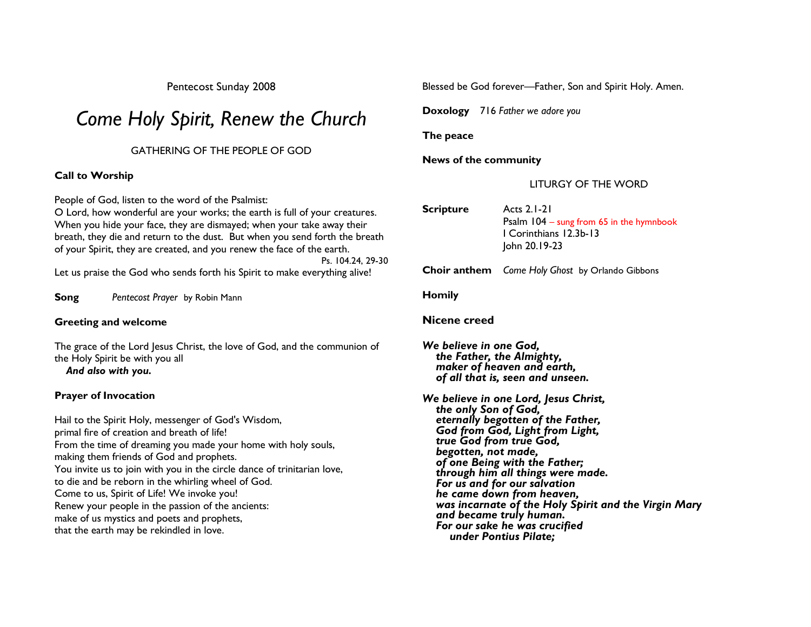Pentecost Sunday 2008

# Come Holy Spirit, Renew the Church

# GATHERING OF THE PEOPLE OF GOD

# Call to Worship

People of God, listen to the word of the Psalmist:

 O Lord, how wonderful are your works; the earth is full of your creatures. When you hide your face, they are dismayed; when your take away their breath, they die and return to the dust. But when you send forth the breath of your Spirit, they are created, and you renew the face of the earth.

 Ps. 104.24, 29-30 Let us praise the God who sends forth his Spirit to make everything alive!

**Song** Pentecost Prayer by Robin Mann

# Greeting and welcome

The grace of the Lord Jesus Christ, the love of God, and the communion of the Holy Spirit be with you all And also with you.

# Prayer of Invocation

Hail to the Spirit Holy, messenger of God's Wisdom, primal fire of creation and breath of life! From the time of dreaming you made your home with holy souls, making them friends of God and prophets. You invite us to join with you in the circle dance of trinitarian love, to die and be reborn in the whirling wheel of God. Come to us, Spirit of Life! We invoke you! Renew your people in the passion of the ancients: make of us mystics and poets and prophets, that the earth may be rekindled in love.

Blessed be God forever—Father, Son and Spirit Holy. Amen.

Doxology 716 Father we adore you

#### The peace

News of the community

# LITURGY OF THE WORD

- Scripture Acts 2.1-21 Psalm 104 – sung from 65 in the hymnbook I Corinthians 12.3b-13 John 20.19-23
- **Choir anthem** Come Holy Ghost by Orlando Gibbons

Homily

# Nicene creed

We believe in one God, the Father, the Almighty, maker of heaven and earth, of all that is, seen and unseen.

We believe in one Lord, Jesus Christ,<br>the only Son of God, eternally begotten of the Father, God from God, Light from Light, true God from true God, begotten, not made, of one Being with the Father; through him all things were made. For us and for our salvation he came down from heaven, was incarnate of the Holy Spirit and the Virgin Mary and became truly human. For our sake he was crucified under Pontius Pilate;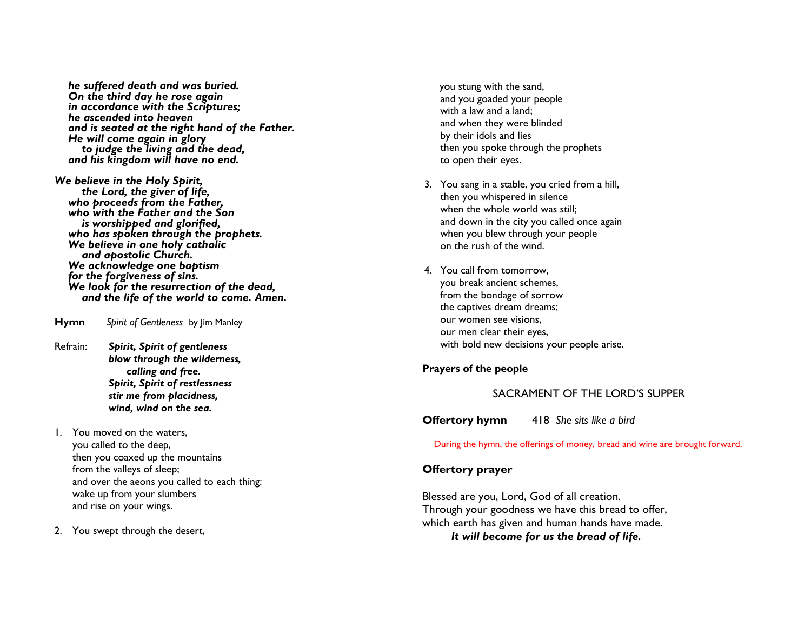he suffered death and was buried.<br>On the third day he rose again in accordance with the Scriptures; he ascended into heaven and is seated at the right hand of the Father. He will come again in glory<br>to judge the living and the dead, and his kingdom will have no end.

We believe in the Holy Spirit,<br>the Lord, the giver of life, who proceeds from the Father. who with the Father and the Son is worshipped and glorified, who has spoken through the prophets. We believe in one holy catholic and apostolic Church. We acknowledge one baptism<br>for the forgiveness of sins. We look for the resurrection of the dead, and the life of the world to come. Amen.

Hymn Spirit of Gentleness by Jim Manley

Refrain: Spirit, Spirit of gentleness blow through the wilderness, calling and free. Spirit, Spirit of restlessness stir me from placidness, wind, wind on the sea.

1. You moved on the waters, you called to the deep, then you coaxed up the mountains from the valleys of sleep; and over the aeons you called to each thing: wake up from your slumbers and rise on your wings.

2. You swept through the desert,

you stung with the sand, and you goaded your people with a law and a land: and when they were blinded by their idols and lies then you spoke through the prophets to open their eyes.

- 3. You sang in a stable, you cried from a hill, then you whispered in silence when the whole world was still; and down in the city you called once again when you blew through your people on the rush of the wind.
- 4. You call from tomorrow, you break ancient schemes, from the bondage of sorrow the captives dream dreams; our women see visions, our men clear their eyes, with bold new decisions your people arise.

# Prayers of the people

# SACRAMENT OF THE LORD'S SUPPER

**Offertory hymn** 418 She sits like a bird

During the hymn, the offerings of money, bread and wine are brought forward.

# Offertory prayer

Blessed are you, Lord, God of all creation. Through your goodness we have this bread to offer, which earth has given and human hands have made. It will become for us the bread of life.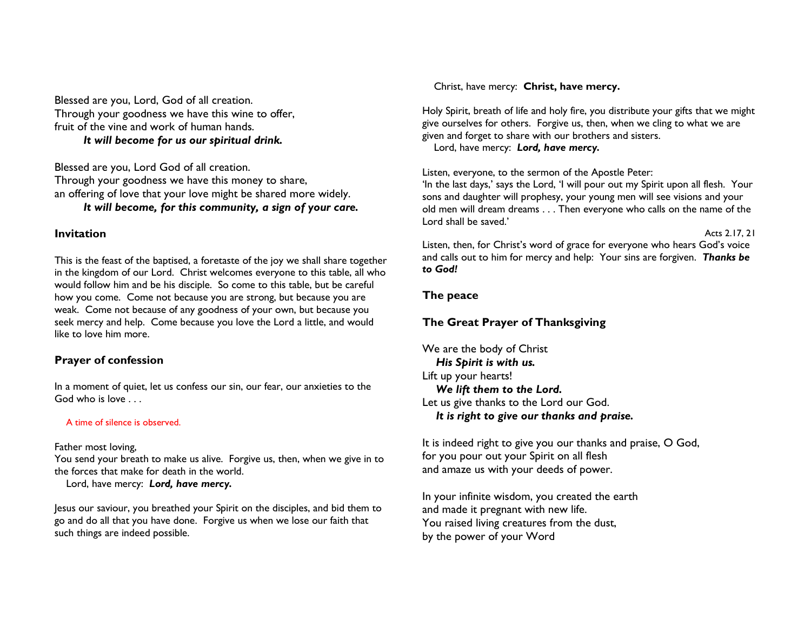Blessed are you, Lord, God of all creation. Through your goodness we have this wine to offer, fruit of the vine and work of human hands. It will become for us our spiritual drink.

Blessed are you, Lord God of all creation. Through your goodness we have this money to share, an offering of love that your love might be shared more widely. It will become, for this community, a sign of your care.

#### Invitation

This is the feast of the baptised, a foretaste of the joy we shall share together in the kingdom of our Lord. Christ welcomes everyone to this table, all who would follow him and be his disciple. So come to this table, but be careful how you come. Come not because you are strong, but because you are weak. Come not because of any goodness of your own, but because you seek mercy and help. Come because you love the Lord a little, and would like to love him more.

# Prayer of confession

In a moment of quiet, let us confess our sin, our fear, our anxieties to the God who is love . . .

#### A time of silence is observed.

Father most loving,

 You send your breath to make us alive. Forgive us, then, when we give in to the forces that make for death in the world.

Lord, have mercy: Lord, have mercy.

Jesus our saviour, you breathed your Spirit on the disciples, and bid them to go and do all that you have done. Forgive us when we lose our faith that such things are indeed possible.

Christ, have mercy: Christ, have mercy.

Holy Spirit, breath of life and holy fire, you distribute your gifts that we might give ourselves for others. Forgive us, then, when we cling to what we are given and forget to share with our brothers and sisters.

Lord, have mercy: Lord, have mercy.

Listen, everyone, to the sermon of the Apostle Peter:

 'In the last days,' says the Lord, 'I will pour out my Spirit upon all flesh. Your sons and daughter will prophesy, your young men will see visions and your old men will dream dreams . . . Then everyone who calls on the name of the Lord shall be saved.'

Acts 2.17, 21

Listen, then, for Christ's word of grace for everyone who hears God's voice and calls out to him for mercy and help: Your sins are forgiven. Thanks be to God!

#### The peace

# The Great Prayer of Thanksgiving

We are the body of Christ His Spirit is with us. Lift up your hearts! We lift them to the Lord. Let us give thanks to the Lord our God. It is right to give our thanks and praise.

It is indeed right to give you our thanks and praise, O God, for you pour out your Spirit on all flesh and amaze us with your deeds of power.

In your infinite wisdom, you created the earth and made it pregnant with new life. You raised living creatures from the dust, by the power of your Word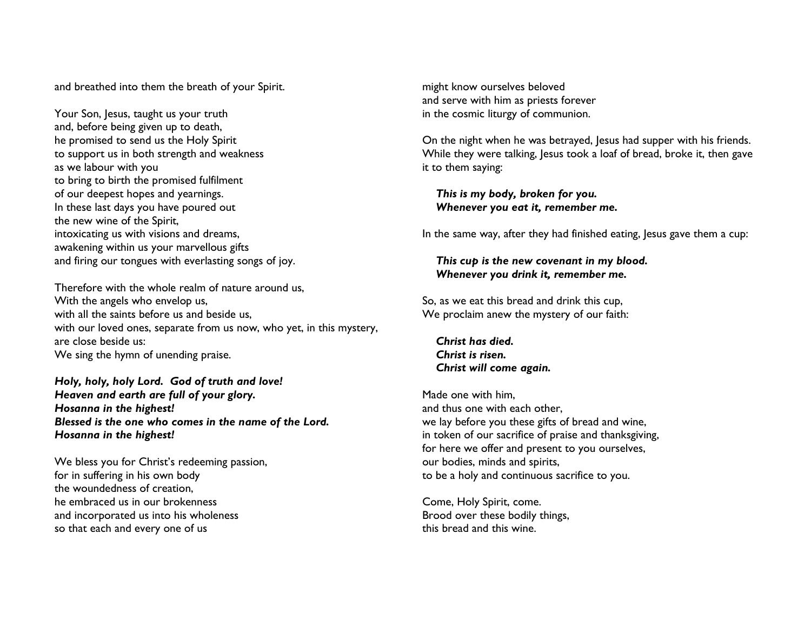and breathed into them the breath of your Spirit.

Your Son, Jesus, taught us your truth and, before being given up to death, he promised to send us the Holy Spirit to support us in both strength and weakness as we labour with you to bring to birth the promised fulfilment of our deepest hopes and yearnings. In these last days you have poured out the new wine of the Spirit, intoxicating us with visions and dreams, awakening within us your marvellous gifts and firing our tongues with everlasting songs of joy.

Therefore with the whole realm of nature around us,With the angels who envelop us, with all the saints before us and beside us, with our loved ones, separate from us now, who yet, in this mystery, are close beside us: We sing the hymn of unending praise.

Holy, holy, holy Lord. God of truth and love! Heaven and earth are full of your glory. Hosanna in the highest! Blessed is the one who comes in the name of the Lord. Hosanna in the highest!

We bless you for Christ's redeeming passion, for in suffering in his own body the woundedness of creation, he embraced us in our brokenness and incorporated us into his wholeness so that each and every one of us

might know ourselves beloved and serve with him as priests forever in the cosmic liturgy of communion.

On the night when he was betrayed, Jesus had supper with his friends. While they were talking, Jesus took a loaf of bread, broke it, then gave it to them saying:

 This is my body, broken for you. Whenever you eat it, remember me.

In the same way, after they had finished eating, Jesus gave them a cup:

# This cup is the new covenant in my blood. Whenever you drink it, remember me.

So, as we eat this bread and drink this cup, We proclaim anew the mystery of our faith:

 Christ has died. Christ is risen. Christ will come again.

Made one with him, and thus one with each other, we lay before you these gifts of bread and wine, in token of our sacrifice of praise and thanksgiving, for here we offer and present to you ourselves, our bodies, minds and spirits, to be a holy and continuous sacrifice to you.

Come, Holy Spirit, come. Brood over these bodily things, this bread and this wine.